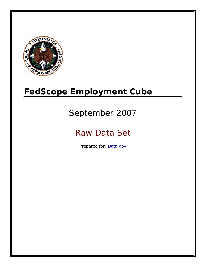

# **FedScope Employment Cube**

# September 2007

# Raw Data Set

Prepared for: [Data.gov](http://www.data.gov/)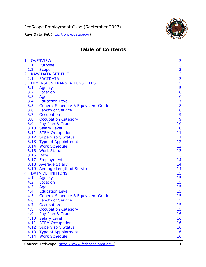

# **Table of Contents**

| $\mathbf{1}$ | <b>OVERVIEW</b>                                | 3              |
|--------------|------------------------------------------------|----------------|
| 1.1          | Purpose                                        | 3              |
| 1.2          | <b>Scope</b>                                   | 3              |
| 2            | <b>RAW DATA SET FILE</b>                       | 3              |
| 2.1          | <b>FACTDATA</b>                                | 3              |
| 3            | <b>DIMENSION TRANSLATIONS FILES</b>            | 5              |
| 3.1          | Agency                                         | 5              |
| 3.2          | Location                                       | 6              |
| 3.3          | Age                                            | 6              |
| 3.4          | <b>Education Level</b>                         | $\overline{7}$ |
| 3.5          | <b>General Schedule &amp; Equivalent Grade</b> | 8              |
| 3.6          | <b>Length of Service</b>                       | 8              |
| 3.7          | Occupation                                     | 9              |
| 3.8          | <b>Occupation Category</b>                     | 9              |
| 3.9          | Pay Plan & Grade                               | 10             |
| 3.10         | <b>Salary Level</b>                            | 10             |
|              | 3.11 STEM Occupations                          | 11             |
|              | 3.12 Supervisory Status                        | 11             |
|              | 3.13 Type of Appointment                       | 12             |
|              | 3.14 Work Schedule                             | 12             |
| 3.15         | <b>Work Status</b>                             | 13             |
|              | 3.16 Date                                      | 13             |
|              | 3.17 Employment                                | 14             |
|              | 3.18 Average Salary                            | 14             |
|              | 3.19 Average Length of Service                 | 14             |
| 4            | <b>DATA DEFINITIONS</b>                        | 15             |
| 4.1          | Agency                                         | 15             |
| 4.2          | Location                                       | 15             |
| 4.3          | Age                                            | 15             |
| 4.4          | <b>Education Level</b>                         | 15             |
| 4.5          | <b>General Schedule &amp; Equivalent Grade</b> | 15             |
| 4.6          | <b>Length of Service</b>                       | 15             |
| 4.7          | Occupation                                     | 15             |
| 4.8          | <b>Occupation Category</b>                     | 15             |
| 4.9          | Pay Plan & Grade                               | 16             |
| 4.10         | <b>Salary Level</b>                            | 16             |
| 4.11         | <b>STEM Occupations</b>                        | 16             |
| 4.12         | <b>Supervisory Status</b>                      | 16             |
| 4.13         | <b>Type of Appointment</b>                     | 16             |
| 4.14         | <b>Work Schedule</b>                           | 16             |

**Source**: FedScope (https://www.fedscope.opm.gov/) 1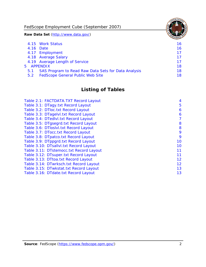FedScope Employment Cube (September 2007)

**Raw Data Set** (http://www.data.gov/)

|               | 4.15 Work Status                                    | 16 |
|---------------|-----------------------------------------------------|----|
|               | 4.16 Date                                           | 16 |
|               | 4.17 Employment                                     | 17 |
|               | 4.18 Average Salary                                 | 17 |
|               | 4.19 Average Length of Service                      | 17 |
|               | 5 APPENDIX                                          | 18 |
| 5.1           | SAS Program to Read Raw Data Sets for Data Analysis | 18 |
| $5.2^{\circ}$ | <b>FedScope General Public Web Site</b>             | 18 |

# **Listing of Tables**

| Table 2.1: FACTDATA.TXT Record Layout   | 4  |
|-----------------------------------------|----|
| Table 3.1: DTagy.txt Record Layout      | 5  |
| Table 3.2: DTloc.txt Record Layout      | 6  |
| Table 3.3: DTagelvl.txt Record Layout   | 6  |
| Table 3.4: DTedlvl.txt Record Layout    | 7  |
| Table 3.5: DTgsegrd.txt Record Layout   | 8  |
| Table 3.6: DTIoslyl.txt Record Layout   | 8  |
| Table 3.7: DTocc.txt Record Layout      | 9  |
| Table 3.8: DTpatco.txt Record Layout    | 9  |
| Table 3.9: DTppgrd.txt Record Layout    | 10 |
| Table 3.10: DTsallvl.txt Record Layout  | 10 |
| Table 3.11: DTstemocc.txt Record Layout | 11 |
| Table 3.12: DTsuper.txt Record Layout   | 11 |
| Table 3.13: DTtoa.txt Record Layout     | 12 |
| Table 3.14: DTwrksch.txt Record Layout  | 12 |
| Table 3.15: DTwkstat.txt Record Layout  | 13 |
| Table 3.16: DTdate.txt Record Layout    | 13 |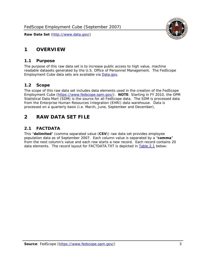# <span id="page-3-0"></span>**1 OVERVIEW**

#### *1.1 Purpose*

<span id="page-3-1"></span>The purpose of this raw data set is to increase public access to high value, machine readable datasets generated by the U.S. Office of Personnel Management. The FedScope Employment Cube data sets are available via [Data.gov](http://www.data.gov/).

## <span id="page-3-2"></span>*1.2 Scope*

The scope of this raw data set includes data elements used in the creation of the FedScope Employment Cube [\(https://www.fedscope.opm.gov/\)](https://www.fedscope.opm.gov/). **NOTE**: Starting in FY 2010, the OPM Statistical Data Mart (SDM) is the source for all FedScope data. The SDM is processed data from the Enterprise Human Resources Integration (EHRI) data warehouse. Data is processed on a quarterly basis (i.e. March, June, September and December).

# <span id="page-3-3"></span>**2 RAW DATA SET FILE**

## <span id="page-3-4"></span>*2.1 FACTDATA*

This "**delimited**" (comma separated value (**CSV**)) raw data set provides employee population data as of September 2007. Each column value is separated by a "**comma**" from the next column's value and each row starts a new record. Each record contains 20 data elements. The record layout for FACTDATA.TXT is depicted in [Table 2.1](#page-4-1) below:

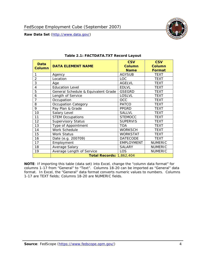<span id="page-4-1"></span><span id="page-4-0"></span>

**NOTE**: If importing this table (data set) into Excel, change the "column data format" for columns 1-17 from "General" to "Text". Columns 18-20 can be imported as "General" data format. In Excel, the "General" data format converts numeric values to numbers. Columns 1-17 are TEXT fields; Columns 18-20 are NUMERIC fields.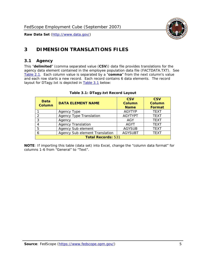

# <span id="page-5-0"></span>**3 DIMENSION TRANSLATIONS FILES**

#### <span id="page-5-1"></span>*3.1 Agency*

<span id="page-5-3"></span><span id="page-5-2"></span>This "**delimited**" (comma separated value (**CSV**)) data file provides translations for the agency data element contained in the employee population data file (FACTDATA.TXT). See [Table 2.1.](#page-4-1) Each column value is separated by a "**comma**" from the next column's value and each row starts a new record. Each record contains 6 data elements. The record layout for DTagy.txt is depicted in [Table 3.1](#page-5-3) below:

| Data<br>Column            | <b>DATA ELEMENT NAME</b>       | <b>CSV</b><br><b>Column</b><br><b>Name</b> | <b>CSV</b><br>Column<br><b>Format</b> |  |
|---------------------------|--------------------------------|--------------------------------------------|---------------------------------------|--|
|                           | Agency Type                    | <b>AGYTYP</b>                              | <b>TEXT</b>                           |  |
|                           | <b>Agency Type Translation</b> | <b>AGYTYPT</b>                             | <b>TEXT</b>                           |  |
| 3                         | Agency                         | AGY                                        | <b>TEXT</b>                           |  |
|                           | <b>Agency Translation</b>      | AGYT                                       | <b>TEXT</b>                           |  |
| -5                        | Agency Sub element             | <b>AGYSUB</b>                              | <b>TEXT</b>                           |  |
|                           | Agency Sub element Translation | <b>AGYSUBT</b>                             | <b>TEXT</b>                           |  |
| <b>Total Records: 531</b> |                                |                                            |                                       |  |

#### **Table 3.1: DTagy.txt Record Layout**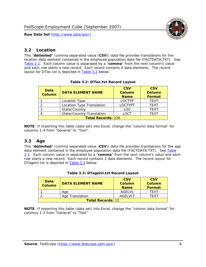

#### <span id="page-6-0"></span>*3.2 Location*

<span id="page-6-4"></span><span id="page-6-2"></span>This "**delimited**" (comma separated value (**CSV**)) data file provides translations for the location data element contained in the employee population data file (FACTDATA.TXT). See [Table 2.1.](#page-4-1) Each column value is separated by a "**comma**" from the next column's value and each row starts a new record. Each record contains 4 data elements. The record layout for DTloc.txt is depicted in [Table 3.2](#page-6-4) below:

| Data<br><b>Column</b>     | <b>DATA ELEMENT NAME</b>         | <b>CSV</b><br>Column<br><b>Name</b> | <b>CSV</b><br><b>Column</b><br><b>Format</b> |  |
|---------------------------|----------------------------------|-------------------------------------|----------------------------------------------|--|
|                           | Location Type                    | <b>LOCTYP</b>                       | <b>TEXT</b>                                  |  |
|                           | Location Type Translation        | <b>LOCTYPT</b>                      | <b>TEXT</b>                                  |  |
| ົ                         | State/Country                    | <b>LOC</b>                          | <b>TFXT</b>                                  |  |
|                           | <b>State/Country Translation</b> | LOCT                                | <b>TFXT</b>                                  |  |
| <b>Total Records: 226</b> |                                  |                                     |                                              |  |

#### **Table 3.2: DTloc.txt Record Layout**

**NOTE**: If importing this table (data set) into Excel, change the "column data format" for columns 1-4 from "General" to "Text".

#### <span id="page-6-1"></span>*3.3 Age*

<span id="page-6-5"></span><span id="page-6-3"></span>This "**delimited**" (comma separated value (**CSV**)) data file provides translations for the age data element contained in the employee population data file (FACTDATA.TXT). See [Table](#page-4-1) [2.1](#page-4-1). Each column value is separated by a "**comma**" from the next column's value and each row starts a new record. Each record contains 2 data elements. The record layout for DTagelvl.txt is depicted in [Table 3.3](#page-6-5) below:

| Data<br><b>Column</b>    | <b>DATA ELEMENT NAME</b> | <b>CSV</b><br>Column<br><b>Name</b> | <b>CSV</b><br>Column<br><b>Format</b> |  |
|--------------------------|--------------------------|-------------------------------------|---------------------------------------|--|
|                          | Aae                      | AGELVL                              | TFXT                                  |  |
|                          | Age Translation          | AGFI VI T                           | TFXT                                  |  |
| <b>Total Records: 12</b> |                          |                                     |                                       |  |

|  |  | Table 3.3: DTagelvl.txt Record Layout |  |
|--|--|---------------------------------------|--|
|  |  |                                       |  |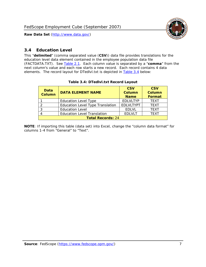

#### <span id="page-7-0"></span>*3.4 Education Level*

<span id="page-7-2"></span><span id="page-7-1"></span>This "**delimited**" (comma separated value (**CSV**)) data file provides translations for the education level data element contained in the employee population data file (FACTDATA.TXT). See [Table 2.1](#page-4-1). Each column value is separated by a "**comma**" from the next column's value and each row starts a new record. Each record contains 4 data elements. The record layout for DTedlvl.txt is depicted in [Table 3.4](#page-7-2) below:

| Data<br><b>Column</b>    | <b>DATA ELEMENT NAME</b>                | <b>CSV</b><br><b>Column</b><br><b>Name</b> | <b>CSV</b><br><b>Column</b><br><b>Format</b> |  |  |
|--------------------------|-----------------------------------------|--------------------------------------------|----------------------------------------------|--|--|
|                          | <b>Education Level Type</b>             | <b>EDLVLTYP</b>                            | <b>TEXT</b>                                  |  |  |
|                          | <b>Education Level Type Translation</b> | <b>EDLVLTYPT</b>                           | <b>TEXT</b>                                  |  |  |
|                          | <b>Education Level</b>                  | <b>EDLVL</b>                               | <b>TEXT</b>                                  |  |  |
|                          | <b>Education Level Translation</b>      | <b>EDLVLT</b>                              | <b>TEXT</b>                                  |  |  |
| <b>Total Records: 24</b> |                                         |                                            |                                              |  |  |

#### **Table 3.4: DTedlvl.txt Record Layout**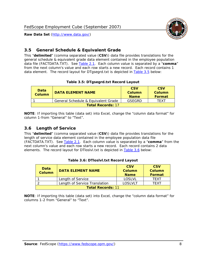



#### <span id="page-8-0"></span>*3.5 General Schedule & Equivalent Grade*

This "**delimited**" (comma separated value (**CSV**)) data file provides translations for the general schedule & equivalent grade data element contained in the employee population data file (FACTDATA.TXT). See [Table 2.1](#page-4-1). Each column value is separated by a "**comma**" from the next column's value and each row starts a new record. Each record contains 1 data element. The record layout for DTgsegrd.txt is depicted in [Table 3.5](#page-8-4) below:

#### **Table 3.5: DTgsegrd.txt Record Layout**

<span id="page-8-4"></span><span id="page-8-2"></span>

| Data<br>DATA FI FMFNT NAMF<br>Column |                                     | <b>CSV</b><br>Column<br><b>Name</b> | <b>CSV</b><br>Column<br><b>Format</b> |  |  |
|--------------------------------------|-------------------------------------|-------------------------------------|---------------------------------------|--|--|
|                                      | General Schedule & Equivalent Grade | GSFGRD                              | TFXT                                  |  |  |
| <b>Total Records: 17</b>             |                                     |                                     |                                       |  |  |

**NOTE**: If importing this table (data set) into Excel, change the "column data format" for column 1-from "General" to "Text".

#### <span id="page-8-1"></span>*3.6 Length of Service*

<span id="page-8-5"></span><span id="page-8-3"></span>This "**delimited**" (comma separated value (**CSV**)) data file provides translations for the length of service data element contained in the employee population data file (FACTDATA.TXT). See [Table 2.1](#page-4-1). Each column value is separated by a "**comma**" from the next column's value and each row starts a new record. Each record contains 2 data elements. The record layout for DTloslvl.txt is depicted in [Table 3.6](#page-8-5) below:

| <b>Data</b><br>Column    | <b>DATA FI FMFNT NAMF</b>     | <b>CSV</b><br>Column<br><b>Name</b> | <b>CSV</b><br>Column<br>Format |  |  |
|--------------------------|-------------------------------|-------------------------------------|--------------------------------|--|--|
|                          | Length of Service             | LOSLVL                              | TFXT                           |  |  |
|                          | Length of Service Translation | LOSI VLT                            | TFXT                           |  |  |
| <b>Total Records: 11</b> |                               |                                     |                                |  |  |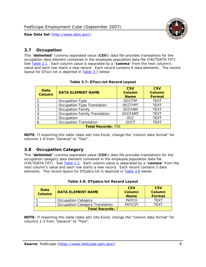

#### <span id="page-9-0"></span>*3.7 Occupation*

<span id="page-9-4"></span>This "**delimited**" (comma separated value (**CSV**)) data file provides translations for the occupation data element contained in the employee population data file (FACTDATA.TXT). See [Table 2.1](#page-4-1). Each column value is separated by a "**comma**" from the next column's value and each row starts a new record. Each record contains 6 data elements. The record layout for DTocc.txt is depicted in [Table 3.7](#page-9-4) below:

<span id="page-9-2"></span>

| Data<br><b>Column</b>     | <b>DATA ELEMENT NAME</b>             | <b>CSV</b><br>Column<br><b>Name</b> | <b>CSV</b><br><b>Column</b><br><b>Format</b> |  |  |
|---------------------------|--------------------------------------|-------------------------------------|----------------------------------------------|--|--|
|                           | Occupation Type                      | <b>OCCTYP</b>                       | <b>TEXT</b>                                  |  |  |
|                           | Occupation Type Translation          | <b>OCCTYPT</b>                      | <b>TEXT</b>                                  |  |  |
| 2                         | <b>Occupation Family</b>             | <b>OCCFAM</b>                       | <b>TEXT</b>                                  |  |  |
|                           | <b>Occupation Family Translation</b> | <b>OCCFAMT</b>                      | <b>TEXT</b>                                  |  |  |
| 5                         | Occupation                           | <b>OCC</b>                          | <b>TEXT</b>                                  |  |  |
|                           | <b>Occupation Translation</b>        | <b>OCCT</b>                         | <b>TEXT</b>                                  |  |  |
| <b>Total Records: 750</b> |                                      |                                     |                                              |  |  |

#### **Table 3.7: DTocc.txt Record Layout**

**NOTE**: If importing this table (data set) into Excel, change the "column data format" for columns 1-6 from "General" to "Text".

#### <span id="page-9-1"></span>*3.8 Occupation Category*

<span id="page-9-5"></span>This "**delimited**" (comma separated value (**CSV**)) data file provides translations for the occupation category data element contained in the employee population data file (FACTDATA.TXT). See [Table 2.1](#page-4-1). Each column value is separated by a "**comma**" from the next column's value and each row starts a new record. Each record contains 2 data elements. The record layout for DTpatco.txt is depicted in [Table 3.8](#page-9-5) below:

<span id="page-9-3"></span>

| Data<br><b>Column</b>   | <b>DATA ELEMENT NAME</b>        | <b>CSV</b><br>Column<br><b>Name</b> | <b>CSV</b><br>Column<br>Format |
|-------------------------|---------------------------------|-------------------------------------|--------------------------------|
|                         | <b>Occupation Category</b>      | <b>PATCO</b>                        | <b>TFXT</b>                    |
|                         | Occupation Category Translation | <b>PATCOT</b>                       | TFXT                           |
| <b>Total Records: 7</b> |                                 |                                     |                                |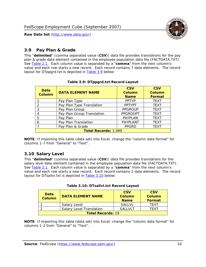

#### <span id="page-10-0"></span>*3.9 Pay Plan & Grade*

<span id="page-10-4"></span>This "**delimited**" (comma separated value (**CSV**)) data file provides translations for the pay plan & grade data element contained in the employee population data file (FACTDATA.TXT). See [Table 2.1](#page-4-1). Each column value is separated by a "**comma**" from the next column's value and each row starts a new record. Each record contains 7 data elements. The record layout for DTppgrd.txt is depicted in **Table 3.9** below:

<span id="page-10-2"></span>

| Data<br><b>Column</b>       | <b>DATA ELEMENT NAME</b>   | <b>CSV</b><br>Column<br><b>Name</b> | <b>CSV</b><br>Column<br><b>Format</b> |  |
|-----------------------------|----------------------------|-------------------------------------|---------------------------------------|--|
|                             | Pay Plan Type              | <b>PPTYP</b>                        | <b>TEXT</b>                           |  |
| $\mathcal{P}$               | Pay Plan Type Translation  | <b>PPTYPT</b>                       | <b>TEXT</b>                           |  |
| 3                           | Pay Plan Group             | <b>PPGROUP</b>                      | <b>TEXT</b>                           |  |
|                             | Pay Plan Group Translation | <b>PPGROUPT</b>                     | <b>TEXT</b>                           |  |
| 5                           | Pay Plan                   | <b>PAYPLAN</b>                      | <b>TEXT</b>                           |  |
| 6                           | Pay Plan Translation       | PAYPLANT                            | <b>TEXT</b>                           |  |
|                             | Pay Plan & Grade           | <b>PPGRD</b>                        | <b>TEXT</b>                           |  |
| <b>Total Records: 1,089</b> |                            |                                     |                                       |  |

#### **Table 3.9: DTppgrd.txt Record Layout**

**NOTE**: If importing this table (data set) into Excel, change the "column data format" for columns 1-7 from "General" to "Text".

## <span id="page-10-1"></span>*3.10 Salary Level*

<span id="page-10-5"></span><span id="page-10-3"></span>This "**delimited**" (comma separated value (**CSV**)) data file provides translations for the salary level data element contained in the employee population data file (FACTDATA.TXT). See [Table 2.1](#page-4-1). Each column value is separated by a "**comma**" from the next column's value and each row starts a new record. Each record contains 2 data elements. The record layout for DTsallvl.txt is depicted in [Table 3.10](#page-10-5) below:

| <b>Data</b><br>Column    | <b>DATA ELEMENT NAME</b>        | <b>CSV</b><br>Column<br><b>Name</b> | <b>CSV</b><br>Column<br><b>Format</b> |
|--------------------------|---------------------------------|-------------------------------------|---------------------------------------|
|                          | Salary Level                    | <b>SALLVL</b>                       | TFXT                                  |
|                          | <b>Salary Level Translation</b> | SAI I VI T                          | TEXT                                  |
| <b>Total Records: 19</b> |                                 |                                     |                                       |

| Table 3.10: DTsallvl.txt Record Layout |
|----------------------------------------|
|----------------------------------------|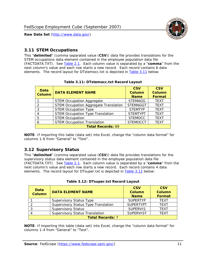

#### <span id="page-11-0"></span>*3.11 STEM Occupations*

<span id="page-11-4"></span>This "**delimited**" (comma separated value (**CSV**)) data file provides translations for the STEM occupations data element contained in the employee population data file (FACTDATA.TXT). See [Table 2.1](#page-4-1). Each column value is separated by a "**comma**" from the next column's value and each row starts a new record. Each record contains 6 data elements. The record layout for DTstemocc.txt is depicted in [Table 3.11](#page-11-4) below:

<span id="page-11-2"></span>

| <b>Data</b><br><b>Column</b> | <b>DATA ELEMENT NAME</b>                     | <b>CSV</b><br><b>Column</b><br><b>Name</b> | <b>CSV</b><br><b>Column</b><br><b>Format</b> |
|------------------------------|----------------------------------------------|--------------------------------------------|----------------------------------------------|
|                              | <b>STEM Occupation Aggregate</b>             | <b>STEMAGG</b>                             | <b>TEXT</b>                                  |
|                              | <b>STEM Occupation Aggregate Translation</b> | <b>STEMAGGT</b>                            | <b>TEXT</b>                                  |
| 3                            | <b>STEM Occupation Type</b>                  | <b>STEMTYP</b>                             | <b>TEXT</b>                                  |
|                              | <b>STEM Occupation Type Translation</b>      | <b>STEMTYPT</b>                            | <b>TEXT</b>                                  |
| 5                            | <b>STEM Occupation</b>                       | <b>STEMOCC</b>                             | <b>TEXT</b>                                  |
|                              | <b>STEM Occupation Translation</b>           | <b>STEMOCCT</b>                            | <b>TEXT</b>                                  |
|                              | <b>Total Records: 69</b>                     |                                            |                                              |

#### **Table 3.11: DTstemocc.txt Record Layout**

**NOTE**: If importing this table (data set) into Excel, change the "column data format" for columns 1-6 from "General" to "Text".

# <span id="page-11-1"></span>*3.12 Supervisory Status*

This "**delimited**" (comma separated value (**CSV**)) data file provides translations for the supervisory status data element contained in the employee population data file (FACTDATA.TXT). See [Table 2.1](#page-4-1). Each column value is separated by a "**comma**" from the next column's value and each row starts a new record. Each record contains 4 data elements. The record layout for DTsuper.txt is depicted in [Table 3.12](#page-11-5) below:

<span id="page-11-5"></span><span id="page-11-3"></span>

| Data<br><b>Column</b> | <b>DATA ELEMENT NAME</b>              | <b>CSV</b><br>Column<br><b>Name</b> | <b>CSV</b><br><b>Column</b><br>Format |
|-----------------------|---------------------------------------|-------------------------------------|---------------------------------------|
|                       | <b>Supervisory Status Type</b>        | <b>SUPERTYP</b>                     | <b>TEXT</b>                           |
|                       | Supervisory Status Type Translation   | <b>SUPERTYPT</b>                    | <b>TEXT</b>                           |
|                       | <b>Supervisory Status</b>             | <b>SUPERVIS</b>                     | <b>TEXT</b>                           |
|                       | <b>Supervisory Status Translation</b> | <b>SUPERVIST</b>                    | <b>TEXT</b>                           |
|                       | <b>Total Records: 7</b>               |                                     |                                       |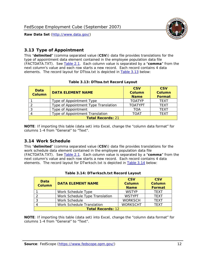

#### <span id="page-12-0"></span>*3.13 Type of Appointment*

This "**delimited**" (comma separated value (**CSV**)) data file provides translations for the type of appointment data element contained in the employee population data file (FACTDATA.TXT). See [Table 2.1](#page-4-1). Each column value is separated by a "**comma**" from the next column's value and each row starts a new record. Each record contains 4 data elements. The record layout for DTtoa.txt is depicted in [Table 3.13](#page-12-4) below:

<span id="page-12-4"></span><span id="page-12-2"></span>

| Data<br><b>Column</b> | <b>DATA ELEMENT NAME</b>             | <b>CSV</b><br><b>Column</b><br><b>Name</b> | <b>CSV</b><br><b>Column</b><br><b>Format</b> |
|-----------------------|--------------------------------------|--------------------------------------------|----------------------------------------------|
|                       | Type of Appointment Type             | <b>TOATYP</b>                              | <b>TFXT</b>                                  |
|                       | Type of Appointment Type Translation | <b>TOATYPT</b>                             | <b>TEXT</b>                                  |
|                       | Type of Appointment                  | <b>TOA</b>                                 | <b>TEXT</b>                                  |
|                       | Type of Appointment Translation      | <b>TOAT</b>                                | <b>TFXT</b>                                  |
|                       | <b>Total Records: 21</b>             |                                            |                                              |

#### **Table 3.13: DTtoa.txt Record Layout**

**NOTE**: If importing this table (data set) into Excel, change the "column data format" for columns 1-4 from "General" to "Text".

#### <span id="page-12-1"></span>*3.14 Work Schedule*

<span id="page-12-5"></span>This "**delimited**" (comma separated value (**CSV**)) data file provides translations for the work schedule data element contained in the employee population data file (FACTDATA.TXT). See [Table 2.1](#page-4-1). Each column value is separated by a "**comma**" from the next column's value and each row starts a new record. Each record contains 4 data elements. The record layout for DTwrksch.txt is depicted in [Table 3.14](#page-12-5) below:

<span id="page-12-3"></span>

| Data<br><b>Column</b>    | <b>DATA ELEMENT NAME</b>       | <b>CSV</b><br>Column<br><b>Name</b> | <b>CSV</b><br><b>Column</b><br><b>Format</b> |  |
|--------------------------|--------------------------------|-------------------------------------|----------------------------------------------|--|
|                          | Work Schedule Type             | <b>WSTYP</b>                        | <b>TEXT</b>                                  |  |
|                          | Work Schedule Type Translation | <b>WSTYPT</b>                       | <b>TFXT</b>                                  |  |
| 3                        | Work Schedule                  | <b>WORKSCH</b>                      | <b>TFXT</b>                                  |  |
|                          | Work Schedule Translation      | <b>WORKSCHT</b>                     | <b>TFXT</b>                                  |  |
| <b>Total Records: 12</b> |                                |                                     |                                              |  |

|  | Table 3.14: DTwrksch.txt Record Layout |  |
|--|----------------------------------------|--|
|  |                                        |  |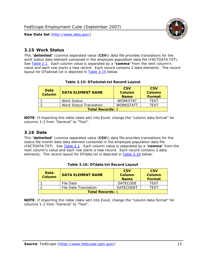

#### <span id="page-13-0"></span>*3.15 Work Status*

<span id="page-13-4"></span><span id="page-13-2"></span>This "**delimited**" (comma separated value (**CSV**)) data file provides translations for the work status data element contained in the employee population data file (FACTDATA.TXT). See [Table 2.1](#page-4-1). Each column value is separated by a "**comma**" from the next column's value and each row starts a new record. Each record contains 2 data elements. The record layout for DTwkstat.txt is depicted in [Table 3.15](#page-13-4) below:

| Data<br><b>Column</b>   | <b>DATA ELEMENT NAME</b>       | <b>CSV</b><br>Column<br><b>Name</b> | <b>CSV</b><br>Column<br><b>Format</b> |
|-------------------------|--------------------------------|-------------------------------------|---------------------------------------|
|                         | <b>Work Status</b>             | <b>WORKSTAT</b>                     | TFXT                                  |
|                         | <b>Work Status Translation</b> | <b>WORKSTATT</b>                    | TFXT                                  |
| <b>Total Records: 2</b> |                                |                                     |                                       |

#### **Table 3.15: DTwkstat.txt Record Layout**

**NOTE**: If importing this table (data set) into Excel, change the "column data format" for columns 1-2 from "General" to "Text".

#### <span id="page-13-1"></span>*3.16 Date*

<span id="page-13-5"></span><span id="page-13-3"></span>This "**delimited**" (comma separated value (**CSV**)) data file provides translations for the status file month date data element contained in the employee population data file (FACTDATA.TXT). See [Table 2.1](#page-4-1). Each column value is separated by a "**comma**" from the next column's value and each row starts a new record. Each record contains 2 data elements. The record layout for DTdate.txt is depicted in [Table 3.16](#page-13-5) below:

| Data<br><b>Column</b>   | <b>DATA ELEMENT NAME</b> | <b>CSV</b><br>Column<br><b>Name</b> | <b>CSV</b><br>Column<br><b>Format</b> |
|-------------------------|--------------------------|-------------------------------------|---------------------------------------|
|                         | File Date                | <b>DATECODE</b>                     | TFXT                                  |
|                         | File Date Translation    | <b>DATECODET</b>                    | TFXT                                  |
| <b>Total Records: 1</b> |                          |                                     |                                       |

**Table 3.16: DTdate.txt Record Layout**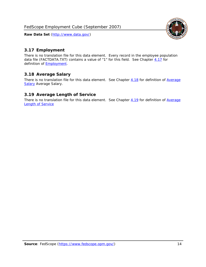

## <span id="page-14-0"></span>*3.17 Employment*

There is no translation file for this data element. Every record in the employee population data file (FACTDATA.TXT) contains a value of "1" for this field. See Chapter [4.17](#page-16-8) for definition of **Employment**.

#### <span id="page-14-1"></span>*3.18 Average Salary*

There is no translation file for this data element. See Chapter [4.18](#page-17-1) for definition of [Average](#page-17-1) **[Salary](#page-17-1) [Average Salary.](#page-17-1)** 

#### <span id="page-14-2"></span>*3.19 Average Length of Service*

There is no translation file for this data element. See Chapter [4.19](#page-17-2) for definition of [Average](#page-17-2) Length of Service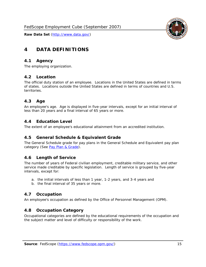

# <span id="page-15-0"></span>**4 DATA DEFINITIONS**

#### <span id="page-15-1"></span>*4.1 Agency*

The employing organization.

#### <span id="page-15-2"></span>*4.2 Location*

The official duty station of an employee. Locations in the United States are defined in terms of states. Locations outside the United States are defined in terms of countries and U.S. territories.

#### <span id="page-15-3"></span>*4.3 Age*

An employee's age. Age is displayed in five-year intervals, except for an initial interval of less than 20 years and a final interval of 65 years or more.

#### <span id="page-15-4"></span>*4.4 Education Level*

The extent of an employee's educational attainment from an accredited institution.

#### <span id="page-15-5"></span>*4.5 General Schedule & Equivalent Grade*

The General Schedule grade for pay plans in the General Schedule and Equivalent pay plan category (See [Pay Plan & Grade](#page-16-0)).

#### <span id="page-15-6"></span>*4.6 Length of Service*

The number of years of Federal civilian employment, creditable military service, and other service made creditable by specific legislation. Length of service is grouped by five-year intervals, except for:

- a. the initial intervals of less than 1 year, 1-2 years, and 3-4 years and
- b. the final interval of 35 years or more.

#### <span id="page-15-7"></span>*4.7 Occupation*

An employee's occupation as defined by the Office of Personnel Management (OPM).

#### <span id="page-15-8"></span>*4.8 Occupation Category*

Occupational categories are defined by the educational requirements of the occupation and the subject matter and level of difficulty or responsibility of the work.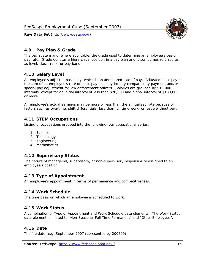<span id="page-16-0"></span>

The pay system and, where applicable, the grade used to determine an employee's basic pay rate. Grade denotes a hierarchical position in a pay plan and is sometimes referred to as level, class, rank, or pay band.

## <span id="page-16-1"></span>*4.10 Salary Level*

An employee's adjusted basic pay, which is an annualized rate of pay. Adjusted basic pay is the sum of an employee's rate of basic pay plus any locality comparability payment and/or special pay adjustment for law enforcement officers. Salaries are grouped by \$10,000 intervals, except for an initial interval of less than \$20,000 and a final interval of \$180,000 or more.

An employee's actual earnings may be more or less than the annualized rate because of factors such as overtime, shift differentials, less than full time work, or leave without pay.

## <span id="page-16-2"></span>*4.11 STEM Occupations*

Listing of occupations grouped into the following four occupational series:

- 1. **S**cience
- 2. **T**echnology
- 3. **E**ngineering
- 4. **M**athematics

#### <span id="page-16-3"></span>*4.12 Supervisory Status*

The nature of managerial, supervisory, or non-supervisory responsibility assigned to an employee's position.

#### <span id="page-16-4"></span>*4.13 Type of Appointment*

An employee's appointment in terms of permanence and competitiveness.

#### <span id="page-16-5"></span>*4.14 Work Schedule*

The time basis on which an employee is scheduled to work.

#### <span id="page-16-6"></span>*4.15 Work Status*

A combination of Type of Appointment and Work Schedule data elements. The Work Status data element is limited to "Non-Seasonal Full Time Permanent" and "Other Employees".

#### <span id="page-16-7"></span>*4.16 Date*

<span id="page-16-8"></span>The file date (e.g. September 2007 represented by 200709).

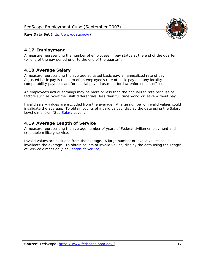

## <span id="page-17-0"></span>*4.17 Employment*

A measure representing the number of employees in pay status at the end of the quarter (or end of the pay period prior to the end of the quarter).

## <span id="page-17-1"></span>*4.18 Average Salary*

A measure representing the average adjusted basic pay, an annualized rate of pay. Adjusted basic pay is the sum of an employee's rate of basic pay and any locality comparability payment and/or special pay adjustment for law enforcement officers.

An employee's actual earnings may be more or less than the annualized rate because of factors such as overtime, shift differentials, less than full time work, or leave without pay.

Invalid salary values are excluded from the average. A large number of invalid values could invalidate the average. To obtain counts of invalid values, display the data using the Salary Level dimension (See [Salary Level\)](#page-16-1).

#### <span id="page-17-2"></span>*4.19 Average Length of Service*

A measure representing the average number of years of Federal civilian employment and creditable military service.

Invalid values are excluded from the average. A large number of invalid values could invalidate the average. To obtain counts of invalid values, display the data using the Length of Service dimension (See [Length of Service](#page-15-6)).